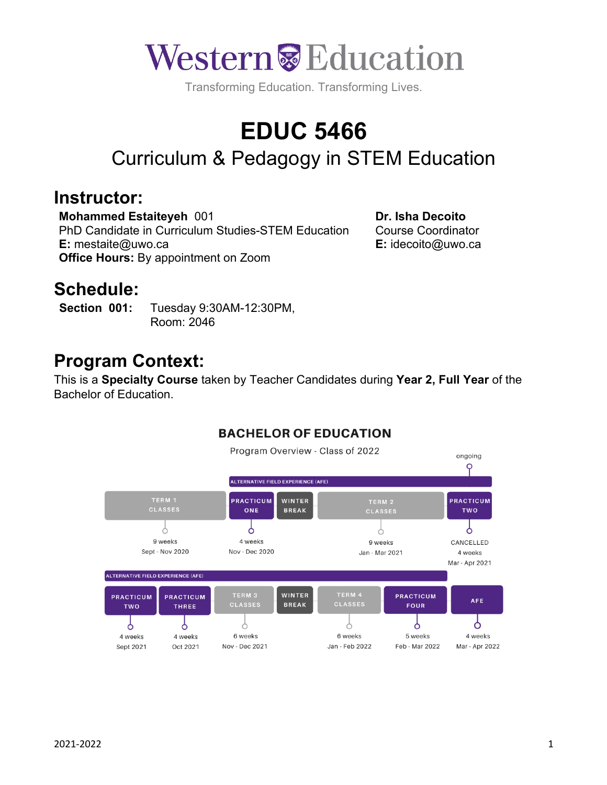

Transforming Education. Transforming Lives.

# **EDUC 5466**

# Curriculum & Pedagogy in STEM Education

#### **Instructor:**

**Mohammed Estaiteyeh** 001 PhD Candidate in Curriculum Studies-STEM Education **E:** mestaite@uwo.ca **Office Hours:** By appointment on Zoom

**Dr. Isha Decoito** Course Coordinator **E:** idecoito@uwo.ca

## **Schedule:**

**Section 001:** Tuesday 9:30AM-12:30PM, Room: 2046

### **Program Context:**

This is a **Specialty Course** taken by Teacher Candidates during **Year 2, Full Year** of the Bachelor of Education.



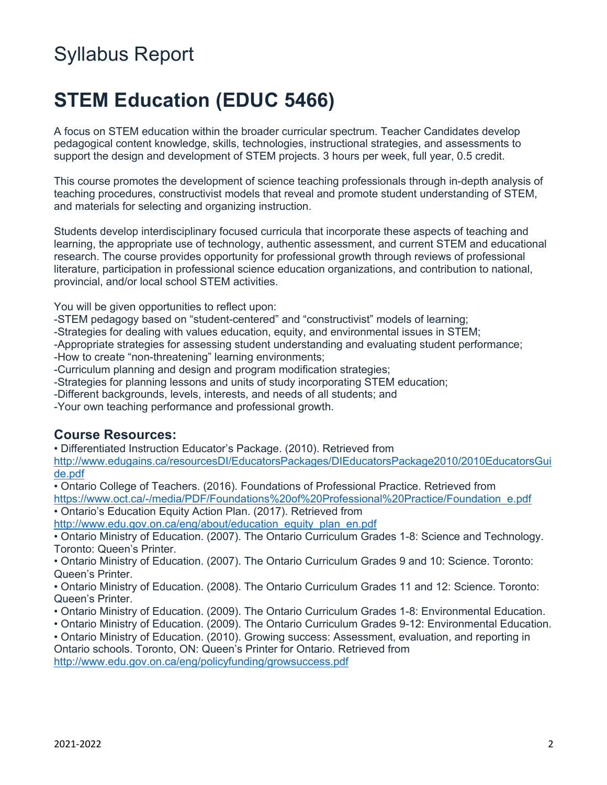# Syllabus Report

# **STEM Education (EDUC 5466)**

A focus on STEM education within the broader curricular spectrum. Teacher Candidates develop pedagogical content knowledge, skills, technologies, instructional strategies, and assessments to support the design and development of STEM projects. 3 hours per week, full year, 0.5 credit.

This course promotes the development of science teaching professionals through in-depth analysis of teaching procedures, constructivist models that reveal and promote student understanding of STEM, and materials for selecting and organizing instruction.

Students develop interdisciplinary focused curricula that incorporate these aspects of teaching and learning, the appropriate use of technology, authentic assessment, and current STEM and educational research. The course provides opportunity for professional growth through reviews of professional literature, participation in professional science education organizations, and contribution to national, provincial, and/or local school STEM activities.

You will be given opportunities to reflect upon:

- -STEM pedagogy based on "student-centered" and "constructivist" models of learning;
- -Strategies for dealing with values education, equity, and environmental issues in STEM;
- -Appropriate strategies for assessing student understanding and evaluating student performance;

-How to create "non-threatening" learning environments;

- -Curriculum planning and design and program modification strategies;
- -Strategies for planning lessons and units of study incorporating STEM education;
- -Different backgrounds, levels, interests, and needs of all students; and
- -Your own teaching performance and professional growth.

#### **Course Resources:**

• Differentiated Instruction Educator's Package. (2010). Retrieved from

http://www.edugains.ca/resourcesDI/EducatorsPackages/DIEducatorsPackage2010/2010EducatorsGui de.pdf

• Ontario College of Teachers. (2016). Foundations of Professional Practice. Retrieved from https://www.oct.ca/-/media/PDF/Foundations%20of%20Professional%20Practice/Foundation\_e.pdf

• Ontario's Education Equity Action Plan. (2017). Retrieved from

http://www.edu.gov.on.ca/eng/about/education\_equity\_plan\_en.pdf

• Ontario Ministry of Education. (2007). The Ontario Curriculum Grades 1-8: Science and Technology. Toronto: Queen's Printer.

• Ontario Ministry of Education. (2007). The Ontario Curriculum Grades 9 and 10: Science. Toronto: Queen's Printer.

• Ontario Ministry of Education. (2008). The Ontario Curriculum Grades 11 and 12: Science. Toronto: Queen's Printer.

- Ontario Ministry of Education. (2009). The Ontario Curriculum Grades 1-8: Environmental Education.
- Ontario Ministry of Education. (2009). The Ontario Curriculum Grades 9-12: Environmental Education.

• Ontario Ministry of Education. (2010). Growing success: Assessment, evaluation, and reporting in Ontario schools. Toronto, ON: Queen's Printer for Ontario. Retrieved from http://www.edu.gov.on.ca/eng/policyfunding/growsuccess.pdf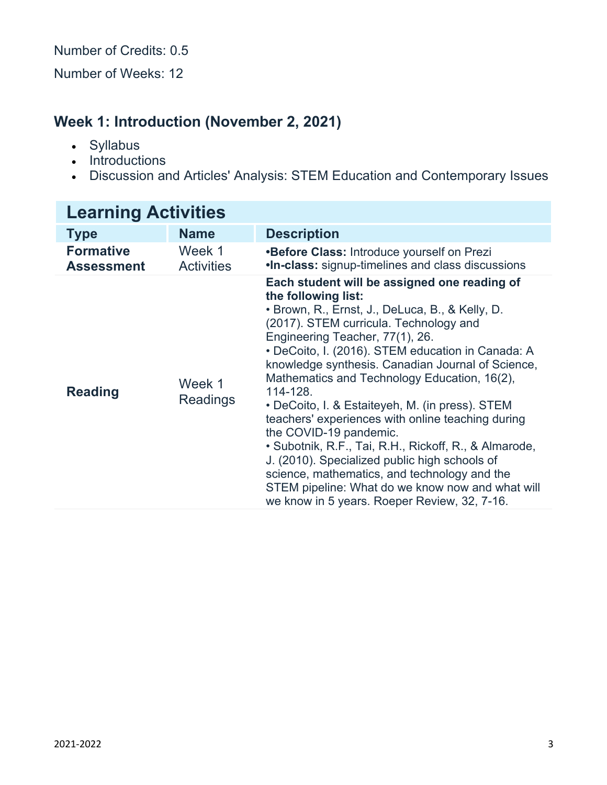Number of Credits: 0.5

Number of Weeks: 12

### **Week 1: Introduction (November 2, 2021)**

- Syllabus
- Introductions
- Discussion and Articles' Analysis: STEM Education and Contemporary Issues

| <b>Learning Activities</b>            |                             |                                                                                                                                                                                                                                                                                                                                                                                                                                                                                                                                                                                                                                                                                                                                                                           |
|---------------------------------------|-----------------------------|---------------------------------------------------------------------------------------------------------------------------------------------------------------------------------------------------------------------------------------------------------------------------------------------------------------------------------------------------------------------------------------------------------------------------------------------------------------------------------------------------------------------------------------------------------------------------------------------------------------------------------------------------------------------------------------------------------------------------------------------------------------------------|
| <b>Type</b>                           | <b>Name</b>                 | <b>Description</b>                                                                                                                                                                                                                                                                                                                                                                                                                                                                                                                                                                                                                                                                                                                                                        |
| <b>Formative</b><br><b>Assessment</b> | Week 1<br><b>Activities</b> | <b>•Before Class: Introduce yourself on Prezi</b><br>.In-class: signup-timelines and class discussions                                                                                                                                                                                                                                                                                                                                                                                                                                                                                                                                                                                                                                                                    |
| <b>Reading</b>                        | Week 1<br><b>Readings</b>   | Each student will be assigned one reading of<br>the following list:<br>• Brown, R., Ernst, J., DeLuca, B., & Kelly, D.<br>(2017). STEM curricula. Technology and<br>Engineering Teacher, 77(1), 26.<br>· DeCoito, I. (2016). STEM education in Canada: A<br>knowledge synthesis. Canadian Journal of Science,<br>Mathematics and Technology Education, 16(2),<br>114-128.<br>• DeCoito, I. & Estaiteyeh, M. (in press). STEM<br>teachers' experiences with online teaching during<br>the COVID-19 pandemic.<br>• Subotnik, R.F., Tai, R.H., Rickoff, R., & Almarode,<br>J. (2010). Specialized public high schools of<br>science, mathematics, and technology and the<br>STEM pipeline: What do we know now and what will<br>we know in 5 years. Roeper Review, 32, 7-16. |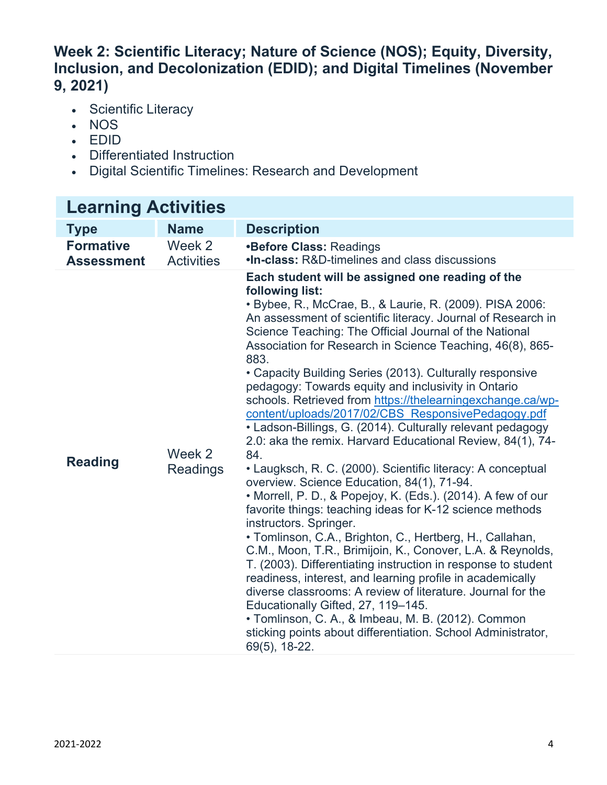#### **Week 2: Scientific Literacy; Nature of Science (NOS); Equity, Diversity, Inclusion, and Decolonization (EDID); and Digital Timelines (November 9, 2021)**

- Scientific Literacy
- NOS
- EDID
- Differentiated Instruction
- Digital Scientific Timelines: Research and Development

### **Learning Activities**

| <b>Type</b>                           | <b>Name</b>                 | <b>Description</b>                                                                                                                                                                                                                                                                                                                                                                                                                                                                                                                                                                                                                                                                                                                                                                                                                                                                                                                                                                                                                                                                                                                                                                                                                                                                                                                                                                                                                                                              |
|---------------------------------------|-----------------------------|---------------------------------------------------------------------------------------------------------------------------------------------------------------------------------------------------------------------------------------------------------------------------------------------------------------------------------------------------------------------------------------------------------------------------------------------------------------------------------------------------------------------------------------------------------------------------------------------------------------------------------------------------------------------------------------------------------------------------------------------------------------------------------------------------------------------------------------------------------------------------------------------------------------------------------------------------------------------------------------------------------------------------------------------------------------------------------------------------------------------------------------------------------------------------------------------------------------------------------------------------------------------------------------------------------------------------------------------------------------------------------------------------------------------------------------------------------------------------------|
| <b>Formative</b><br><b>Assessment</b> | Week 2<br><b>Activities</b> | <b>•Before Class: Readings</b><br>.In-class: R&D-timelines and class discussions                                                                                                                                                                                                                                                                                                                                                                                                                                                                                                                                                                                                                                                                                                                                                                                                                                                                                                                                                                                                                                                                                                                                                                                                                                                                                                                                                                                                |
| <b>Reading</b>                        | Week 2<br><b>Readings</b>   | Each student will be assigned one reading of the<br>following list:<br>• Bybee, R., McCrae, B., & Laurie, R. (2009). PISA 2006:<br>An assessment of scientific literacy. Journal of Research in<br>Science Teaching: The Official Journal of the National<br>Association for Research in Science Teaching, 46(8), 865-<br>883.<br>• Capacity Building Series (2013). Culturally responsive<br>pedagogy: Towards equity and inclusivity in Ontario<br>schools. Retrieved from https://thelearningexchange.ca/wp-<br>content/uploads/2017/02/CBS ResponsivePedagogy.pdf<br>• Ladson-Billings, G. (2014). Culturally relevant pedagogy<br>2.0: aka the remix. Harvard Educational Review, 84(1), 74-<br>84.<br>• Laugksch, R. C. (2000). Scientific literacy: A conceptual<br>overview. Science Education, 84(1), 71-94.<br>• Morrell, P. D., & Popejoy, K. (Eds.). (2014). A few of our<br>favorite things: teaching ideas for K-12 science methods<br>instructors. Springer.<br>• Tomlinson, C.A., Brighton, C., Hertberg, H., Callahan,<br>C.M., Moon, T.R., Brimijoin, K., Conover, L.A. & Reynolds,<br>T. (2003). Differentiating instruction in response to student<br>readiness, interest, and learning profile in academically<br>diverse classrooms: A review of literature. Journal for the<br>Educationally Gifted, 27, 119-145.<br>• Tomlinson, C. A., & Imbeau, M. B. (2012). Common<br>sticking points about differentiation. School Administrator,<br>69(5), 18-22. |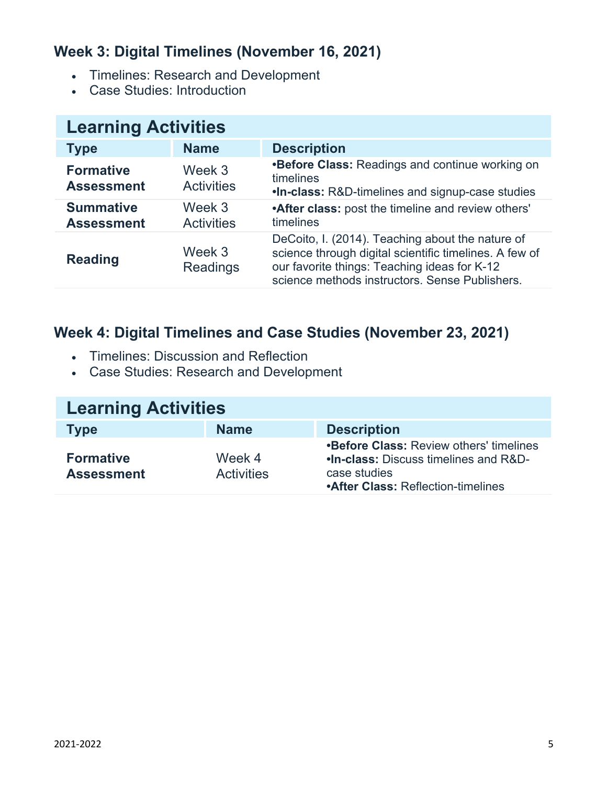### **Week 3: Digital Timelines (November 16, 2021)**

- Timelines: Research and Development
- Case Studies: Introduction

| <b>Learning Activities</b>            |                             |                                                                                                                                                                                                              |
|---------------------------------------|-----------------------------|--------------------------------------------------------------------------------------------------------------------------------------------------------------------------------------------------------------|
| <b>Type</b>                           | <b>Name</b>                 | <b>Description</b>                                                                                                                                                                                           |
| <b>Formative</b><br><b>Assessment</b> | Week 3<br><b>Activities</b> | <b>•Before Class: Readings and continue working on</b><br>timelines<br><b>.In-class: R&amp;D-timelines and signup-case studies</b>                                                                           |
| <b>Summative</b><br><b>Assessment</b> | Week 3<br><b>Activities</b> | <b>After class:</b> post the timeline and review others'<br>timelines                                                                                                                                        |
| <b>Reading</b>                        | Week 3<br><b>Readings</b>   | DeCoito, I. (2014). Teaching about the nature of<br>science through digital scientific timelines. A few of<br>our favorite things: Teaching ideas for K-12<br>science methods instructors. Sense Publishers. |

#### **Week 4: Digital Timelines and Case Studies (November 23, 2021)**

- Timelines: Discussion and Reflection
- Case Studies: Research and Development

| <b>Learning Activities</b>            |                             |                                                                                                                                                      |
|---------------------------------------|-----------------------------|------------------------------------------------------------------------------------------------------------------------------------------------------|
| <b>Type</b>                           | <b>Name</b>                 | <b>Description</b>                                                                                                                                   |
| <b>Formative</b><br><b>Assessment</b> | Week 4<br><b>Activities</b> | <b>•Before Class: Review others' timelines</b><br>.In-class: Discuss timelines and R&D-<br>case studies<br><b>•After Class: Reflection-timelines</b> |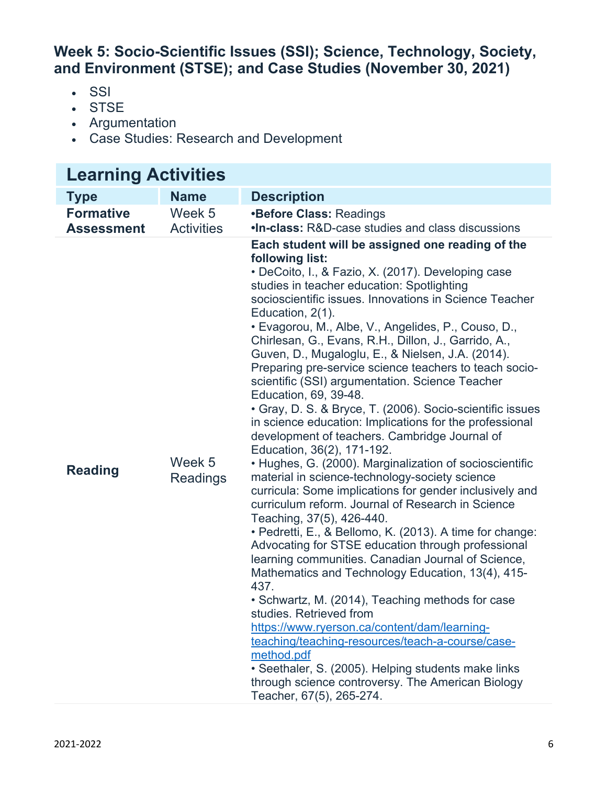#### **Week 5: Socio-Scientific Issues (SSI); Science, Technology, Society, and Environment (STSE); and Case Studies (November 30, 2021)**

- SSI
- STSE
- Argumentation
- Case Studies: Research and Development

| <b>Learning Activities</b>            |                             |                                                                                                                                                                                                                                                                                                                                                                                                                                                                                                                                                                                                                                                                                                                                                                                                                                                                                                                                                                                                                                                                                                                                                                                                                                                                                                                                                                                                                                                                                                                                                                                                                |  |
|---------------------------------------|-----------------------------|----------------------------------------------------------------------------------------------------------------------------------------------------------------------------------------------------------------------------------------------------------------------------------------------------------------------------------------------------------------------------------------------------------------------------------------------------------------------------------------------------------------------------------------------------------------------------------------------------------------------------------------------------------------------------------------------------------------------------------------------------------------------------------------------------------------------------------------------------------------------------------------------------------------------------------------------------------------------------------------------------------------------------------------------------------------------------------------------------------------------------------------------------------------------------------------------------------------------------------------------------------------------------------------------------------------------------------------------------------------------------------------------------------------------------------------------------------------------------------------------------------------------------------------------------------------------------------------------------------------|--|
| <b>Type</b>                           | <b>Name</b>                 | <b>Description</b>                                                                                                                                                                                                                                                                                                                                                                                                                                                                                                                                                                                                                                                                                                                                                                                                                                                                                                                                                                                                                                                                                                                                                                                                                                                                                                                                                                                                                                                                                                                                                                                             |  |
| <b>Formative</b><br><b>Assessment</b> | Week 5<br><b>Activities</b> | <b>•Before Class: Readings</b><br>.In-class: R&D-case studies and class discussions                                                                                                                                                                                                                                                                                                                                                                                                                                                                                                                                                                                                                                                                                                                                                                                                                                                                                                                                                                                                                                                                                                                                                                                                                                                                                                                                                                                                                                                                                                                            |  |
| <b>Reading</b>                        | Week 5<br><b>Readings</b>   | Each student will be assigned one reading of the<br>following list:<br>• DeCoito, I., & Fazio, X. (2017). Developing case<br>studies in teacher education: Spotlighting<br>socioscientific issues. Innovations in Science Teacher<br>Education, 2(1).<br>• Evagorou, M., Albe, V., Angelides, P., Couso, D.,<br>Chirlesan, G., Evans, R.H., Dillon, J., Garrido, A.,<br>Guven, D., Mugaloglu, E., & Nielsen, J.A. (2014).<br>Preparing pre-service science teachers to teach socio-<br>scientific (SSI) argumentation. Science Teacher<br>Education, 69, 39-48.<br>• Gray, D. S. & Bryce, T. (2006). Socio-scientific issues<br>in science education: Implications for the professional<br>development of teachers. Cambridge Journal of<br>Education, 36(2), 171-192.<br>• Hughes, G. (2000). Marginalization of socioscientific<br>material in science-technology-society science<br>curricula: Some implications for gender inclusively and<br>curriculum reform. Journal of Research in Science<br>Teaching, 37(5), 426-440.<br>• Pedretti, E., & Bellomo, K. (2013). A time for change:<br>Advocating for STSE education through professional<br>learning communities. Canadian Journal of Science,<br>Mathematics and Technology Education, 13(4), 415-<br>437.<br>• Schwartz, M. (2014), Teaching methods for case<br>studies. Retrieved from<br>https://www.ryerson.ca/content/dam/learning-<br>teaching/teaching-resources/teach-a-course/case-<br>method.pdf<br>· Seethaler, S. (2005). Helping students make links<br>through science controversy. The American Biology<br>Teacher, 67(5), 265-274. |  |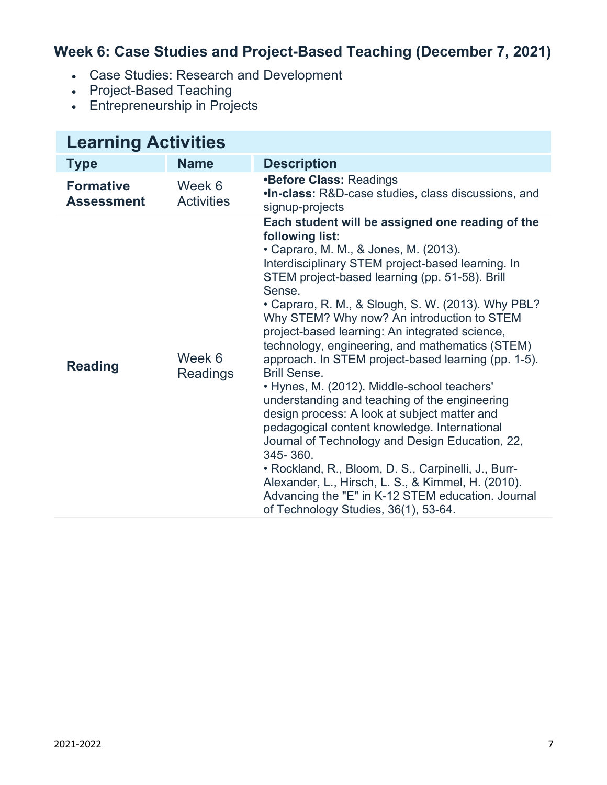### **Week 6: Case Studies and Project-Based Teaching (December 7, 2021)**

- Case Studies: Research and Development
- Project-Based Teaching
- Entrepreneurship in Projects

| <b>Learning Activities</b>            |                             |                                                                                                                                                                                                                                                                                                                                                                                                                                                                                                                                                                                                                                                                                                                                                                                                                                                                                                                                                                                               |
|---------------------------------------|-----------------------------|-----------------------------------------------------------------------------------------------------------------------------------------------------------------------------------------------------------------------------------------------------------------------------------------------------------------------------------------------------------------------------------------------------------------------------------------------------------------------------------------------------------------------------------------------------------------------------------------------------------------------------------------------------------------------------------------------------------------------------------------------------------------------------------------------------------------------------------------------------------------------------------------------------------------------------------------------------------------------------------------------|
| <b>Type</b>                           | <b>Name</b>                 | <b>Description</b>                                                                                                                                                                                                                                                                                                                                                                                                                                                                                                                                                                                                                                                                                                                                                                                                                                                                                                                                                                            |
| <b>Formative</b><br><b>Assessment</b> | Week 6<br><b>Activities</b> | <b>•Before Class: Readings</b><br><b>.In-class:</b> R&D-case studies, class discussions, and<br>signup-projects                                                                                                                                                                                                                                                                                                                                                                                                                                                                                                                                                                                                                                                                                                                                                                                                                                                                               |
| <b>Reading</b>                        | Week 6<br><b>Readings</b>   | Each student will be assigned one reading of the<br>following list:<br>• Capraro, M. M., & Jones, M. (2013).<br>Interdisciplinary STEM project-based learning. In<br>STEM project-based learning (pp. 51-58). Brill<br>Sense.<br>• Capraro, R. M., & Slough, S. W. (2013). Why PBL?<br>Why STEM? Why now? An introduction to STEM<br>project-based learning: An integrated science,<br>technology, engineering, and mathematics (STEM)<br>approach. In STEM project-based learning (pp. 1-5).<br><b>Brill Sense.</b><br>• Hynes, M. (2012). Middle-school teachers'<br>understanding and teaching of the engineering<br>design process: A look at subject matter and<br>pedagogical content knowledge. International<br>Journal of Technology and Design Education, 22,<br>345-360.<br>• Rockland, R., Bloom, D. S., Carpinelli, J., Burr-<br>Alexander, L., Hirsch, L. S., & Kimmel, H. (2010).<br>Advancing the "E" in K-12 STEM education. Journal<br>of Technology Studies, 36(1), 53-64. |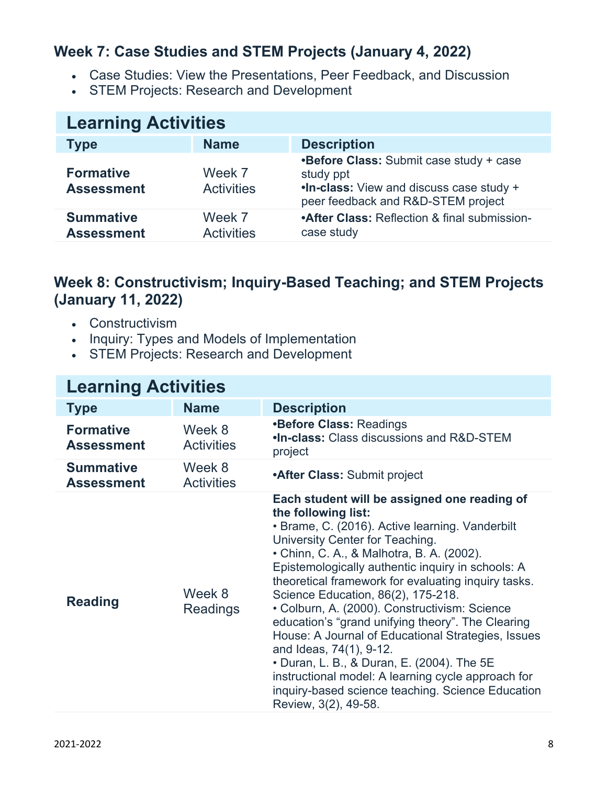#### **Week 7: Case Studies and STEM Projects (January 4, 2022)**

- Case Studies: View the Presentations, Peer Feedback, and Discussion
- STEM Projects: Research and Development

| <b>Learning Activities</b>            |                             |                                                                                                                                        |
|---------------------------------------|-----------------------------|----------------------------------------------------------------------------------------------------------------------------------------|
| <b>Type</b>                           | <b>Name</b>                 | <b>Description</b>                                                                                                                     |
| <b>Formative</b><br><b>Assessment</b> | Week 7<br><b>Activities</b> | •Before Class: Submit case study + case<br>study ppt<br>.In-class: View and discuss case study +<br>peer feedback and R&D-STEM project |
| <b>Summative</b><br><b>Assessment</b> | Week 7<br><b>Activities</b> | <b>•After Class: Reflection &amp; final submission-</b><br>case study                                                                  |

#### **Week 8: Constructivism; Inquiry-Based Teaching; and STEM Projects (January 11, 2022)**

- Constructivism
- Inquiry: Types and Models of Implementation
- STEM Projects: Research and Development

| <b>Learning Activities</b>            |                             |                                                                                                                                                                                                                                                                                                                                                                                                                                                                                                                                                                                                                                                                                                                                  |
|---------------------------------------|-----------------------------|----------------------------------------------------------------------------------------------------------------------------------------------------------------------------------------------------------------------------------------------------------------------------------------------------------------------------------------------------------------------------------------------------------------------------------------------------------------------------------------------------------------------------------------------------------------------------------------------------------------------------------------------------------------------------------------------------------------------------------|
| <b>Type</b>                           | <b>Name</b>                 | <b>Description</b>                                                                                                                                                                                                                                                                                                                                                                                                                                                                                                                                                                                                                                                                                                               |
| <b>Formative</b><br><b>Assessment</b> | Week 8<br><b>Activities</b> | <b>•Before Class: Readings</b><br><b>.In-class: Class discussions and R&amp;D-STEM</b><br>project                                                                                                                                                                                                                                                                                                                                                                                                                                                                                                                                                                                                                                |
| <b>Summative</b><br><b>Assessment</b> | Week 8<br><b>Activities</b> | <b>After Class: Submit project</b>                                                                                                                                                                                                                                                                                                                                                                                                                                                                                                                                                                                                                                                                                               |
| <b>Reading</b>                        | Week 8<br><b>Readings</b>   | Each student will be assigned one reading of<br>the following list:<br>• Brame, C. (2016). Active learning. Vanderbilt<br>University Center for Teaching.<br>• Chinn, C. A., & Malhotra, B. A. (2002).<br>Epistemologically authentic inquiry in schools: A<br>theoretical framework for evaluating inquiry tasks.<br>Science Education, 86(2), 175-218.<br>• Colburn, A. (2000). Constructivism: Science<br>education's "grand unifying theory". The Clearing<br>House: A Journal of Educational Strategies, Issues<br>and Ideas, 74(1), 9-12.<br>• Duran, L. B., & Duran, E. (2004). The 5E<br>instructional model: A learning cycle approach for<br>inquiry-based science teaching. Science Education<br>Review, 3(2), 49-58. |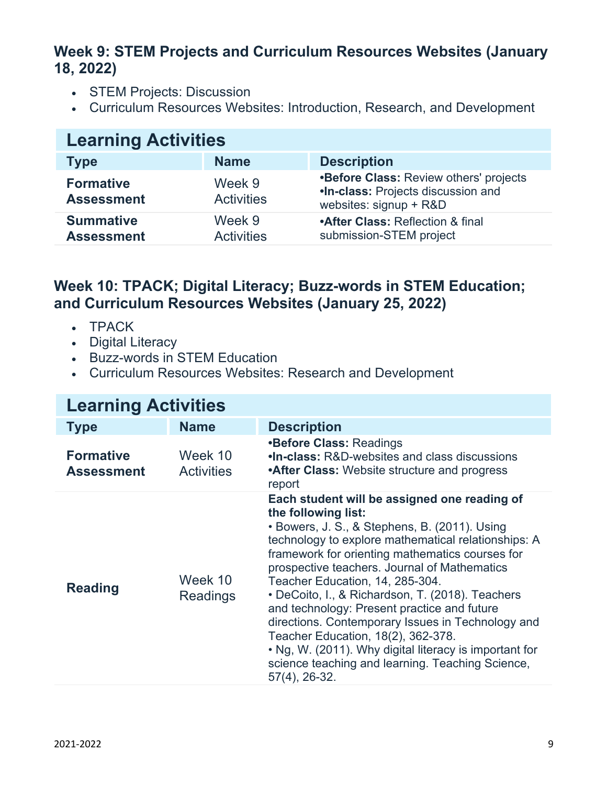#### **Week 9: STEM Projects and Curriculum Resources Websites (January 18, 2022)**

- STEM Projects: Discussion
- Curriculum Resources Websites: Introduction, Research, and Development

| <b>Learning Activities</b>            |                             |                                                                                                               |
|---------------------------------------|-----------------------------|---------------------------------------------------------------------------------------------------------------|
| <b>Type</b>                           | <b>Name</b>                 | <b>Description</b>                                                                                            |
| <b>Formative</b><br><b>Assessment</b> | Week 9<br><b>Activities</b> | <b>•Before Class: Review others' projects</b><br>.In-class: Projects discussion and<br>websites: signup + R&D |
| <b>Summative</b><br><b>Assessment</b> | Week 9<br><b>Activities</b> | <b>•After Class: Reflection &amp; final</b><br>submission-STEM project                                        |

#### **Week 10: TPACK; Digital Literacy; Buzz-words in STEM Education; and Curriculum Resources Websites (January 25, 2022)**

- TPACK
- Digital Literacy
- Buzz-words in STEM Education
- Curriculum Resources Websites: Research and Development

| <b>Learning Activities</b>            |                              |                                                                                                                                                                                                                                                                                                                                                                                                                                                                                                                                                                                                                                                   |
|---------------------------------------|------------------------------|---------------------------------------------------------------------------------------------------------------------------------------------------------------------------------------------------------------------------------------------------------------------------------------------------------------------------------------------------------------------------------------------------------------------------------------------------------------------------------------------------------------------------------------------------------------------------------------------------------------------------------------------------|
| <b>Type</b>                           | <b>Name</b>                  | <b>Description</b>                                                                                                                                                                                                                                                                                                                                                                                                                                                                                                                                                                                                                                |
| <b>Formative</b><br><b>Assessment</b> | Week 10<br><b>Activities</b> | <b>•Before Class: Readings</b><br>.In-class: R&D-websites and class discussions<br><b>After Class:</b> Website structure and progress<br>report                                                                                                                                                                                                                                                                                                                                                                                                                                                                                                   |
| <b>Reading</b>                        | Week 10<br><b>Readings</b>   | Each student will be assigned one reading of<br>the following list:<br>• Bowers, J. S., & Stephens, B. (2011). Using<br>technology to explore mathematical relationships: A<br>framework for orienting mathematics courses for<br>prospective teachers. Journal of Mathematics<br>Teacher Education, 14, 285-304.<br>• DeCoito, I., & Richardson, T. (2018). Teachers<br>and technology: Present practice and future<br>directions. Contemporary Issues in Technology and<br>Teacher Education, 18(2), 362-378.<br>• Ng, W. (2011). Why digital literacy is important for<br>science teaching and learning. Teaching Science,<br>$57(4)$ , 26-32. |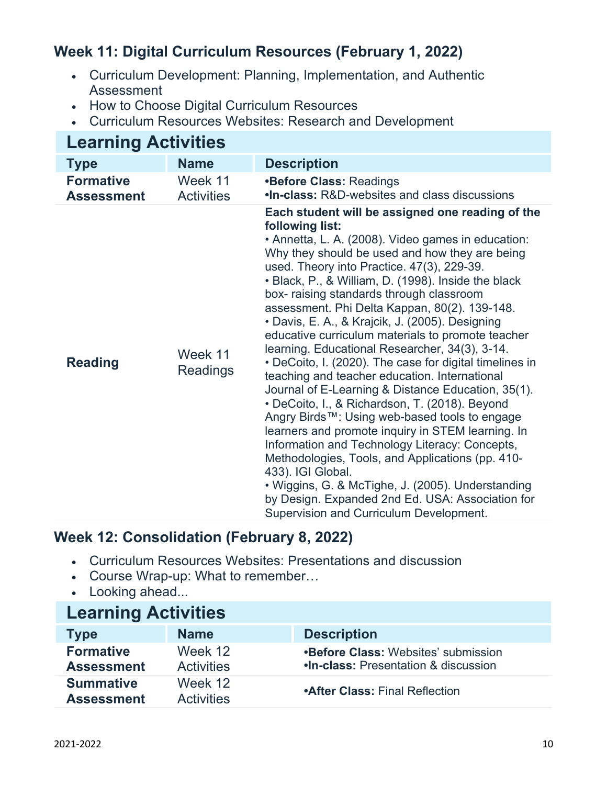### **Week 11: Digital Curriculum Resources (February 1, 2022)**

- Curriculum Development: Planning, Implementation, and Authentic Assessment
- How to Choose Digital Curriculum Resources
- Curriculum Resources Websites: Research and Development

#### **Learning Activities Type Name Description Formative Assessment** Week 11 **Activities •Before Class:** Readings **•In-class:** R&D-websites and class discussions **Reading** Week 11 Readings **Each student will be assigned one reading of the following list:** • Annetta, L. A. (2008). Video games in education: Why they should be used and how they are being used. Theory into Practice. 47(3), 229-39. • Black, P., & William, D. (1998). Inside the black box- raising standards through classroom assessment. Phi Delta Kappan, 80(2). 139-148. • Davis, E. A., & Krajcik, J. (2005). Designing educative curriculum materials to promote teacher learning. Educational Researcher, 34(3), 3-14. • DeCoito, I. (2020). The case for digital timelines in teaching and teacher education. International Journal of E-Learning & Distance Education, 35(1). • DeCoito, I., & Richardson, T. (2018). Beyond Angry Birds™: Using web-based tools to engage learners and promote inquiry in STEM learning. In Information and Technology Literacy: Concepts, Methodologies, Tools, and Applications (pp. 410- 433). IGI Global. • Wiggins, G. & McTighe, J. (2005). Understanding by Design. Expanded 2nd Ed. USA: Association for Supervision and Curriculum Development.

#### **Week 12: Consolidation (February 8, 2022)**

- Curriculum Resources Websites: Presentations and discussion
- Course Wrap-up: What to remember…
- Looking ahead...

| <b>Learning Activities</b>            |                              |                                                                                               |
|---------------------------------------|------------------------------|-----------------------------------------------------------------------------------------------|
| <b>Type</b>                           | <b>Name</b>                  | <b>Description</b>                                                                            |
| <b>Formative</b><br><b>Assessment</b> | Week 12<br><b>Activities</b> | <b>•Before Class: Websites' submission</b><br><b>.In-class: Presentation &amp; discussion</b> |
| <b>Summative</b><br><b>Assessment</b> | Week 12<br><b>Activities</b> | <b>•After Class: Final Reflection</b>                                                         |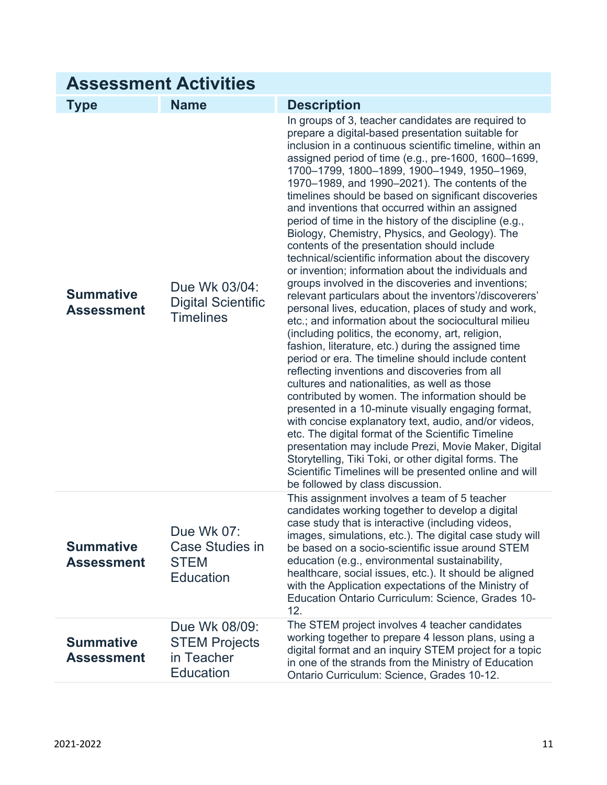| <b>Assessment Activities</b>          |                                                                         |                                                                                                                                                                                                                                                                                                                                                                                                                                                                                                                                                                                                                                                                                                                                                                                                                                                                                                                                                                                                                                                                                                                                                                                                                                                                                                                                                                                                                                                                                                                                                                                                                                                          |
|---------------------------------------|-------------------------------------------------------------------------|----------------------------------------------------------------------------------------------------------------------------------------------------------------------------------------------------------------------------------------------------------------------------------------------------------------------------------------------------------------------------------------------------------------------------------------------------------------------------------------------------------------------------------------------------------------------------------------------------------------------------------------------------------------------------------------------------------------------------------------------------------------------------------------------------------------------------------------------------------------------------------------------------------------------------------------------------------------------------------------------------------------------------------------------------------------------------------------------------------------------------------------------------------------------------------------------------------------------------------------------------------------------------------------------------------------------------------------------------------------------------------------------------------------------------------------------------------------------------------------------------------------------------------------------------------------------------------------------------------------------------------------------------------|
| <b>Type</b>                           | <b>Name</b>                                                             | <b>Description</b>                                                                                                                                                                                                                                                                                                                                                                                                                                                                                                                                                                                                                                                                                                                                                                                                                                                                                                                                                                                                                                                                                                                                                                                                                                                                                                                                                                                                                                                                                                                                                                                                                                       |
| <b>Summative</b><br><b>Assessment</b> | Due Wk 03/04:<br><b>Digital Scientific</b><br><b>Timelines</b>          | In groups of 3, teacher candidates are required to<br>prepare a digital-based presentation suitable for<br>inclusion in a continuous scientific timeline, within an<br>assigned period of time (e.g., pre-1600, 1600–1699,<br>1700-1799, 1800-1899, 1900-1949, 1950-1969,<br>1970–1989, and 1990–2021). The contents of the<br>timelines should be based on significant discoveries<br>and inventions that occurred within an assigned<br>period of time in the history of the discipline (e.g.,<br>Biology, Chemistry, Physics, and Geology). The<br>contents of the presentation should include<br>technical/scientific information about the discovery<br>or invention; information about the individuals and<br>groups involved in the discoveries and inventions;<br>relevant particulars about the inventors'/discoverers'<br>personal lives, education, places of study and work,<br>etc.; and information about the sociocultural milieu<br>(including politics, the economy, art, religion,<br>fashion, literature, etc.) during the assigned time<br>period or era. The timeline should include content<br>reflecting inventions and discoveries from all<br>cultures and nationalities, as well as those<br>contributed by women. The information should be<br>presented in a 10-minute visually engaging format,<br>with concise explanatory text, audio, and/or videos,<br>etc. The digital format of the Scientific Timeline<br>presentation may include Prezi, Movie Maker, Digital<br>Storytelling, Tiki Toki, or other digital forms. The<br>Scientific Timelines will be presented online and will<br>be followed by class discussion. |
| <b>Summative</b><br>Assessment        | Due Wk 07:<br>Case Studies in<br><b>STEM</b><br><b>Education</b>        | This assignment involves a team of 5 teacher<br>candidates working together to develop a digital<br>case study that is interactive (including videos,<br>images, simulations, etc.). The digital case study will<br>be based on a socio-scientific issue around STEM<br>education (e.g., environmental sustainability,<br>healthcare, social issues, etc.). It should be aligned<br>with the Application expectations of the Ministry of<br>Education Ontario Curriculum: Science, Grades 10-<br>12.                                                                                                                                                                                                                                                                                                                                                                                                                                                                                                                                                                                                                                                                                                                                                                                                                                                                                                                                                                                                                                                                                                                                                     |
| <b>Summative</b><br>Assessment        | Due Wk 08/09:<br><b>STEM Projects</b><br>in Teacher<br><b>Education</b> | The STEM project involves 4 teacher candidates<br>working together to prepare 4 lesson plans, using a<br>digital format and an inquiry STEM project for a topic<br>in one of the strands from the Ministry of Education<br>Ontario Curriculum: Science, Grades 10-12.                                                                                                                                                                                                                                                                                                                                                                                                                                                                                                                                                                                                                                                                                                                                                                                                                                                                                                                                                                                                                                                                                                                                                                                                                                                                                                                                                                                    |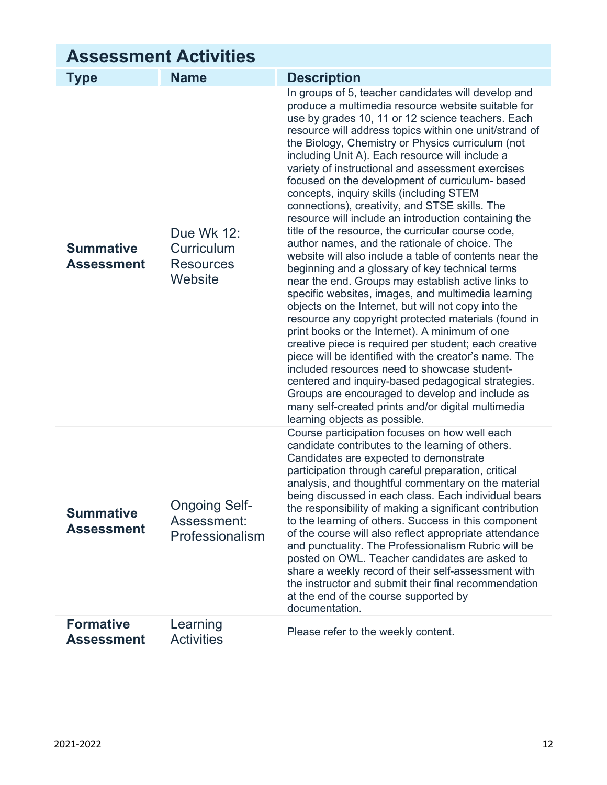| <b>Assessment Activities</b>          |                                                         |                                                                                                                                                                                                                                                                                                                                                                                                                                                                                                                                                                                                                                                                                                                                                                                                                                                                                                                                                                                                                                                                                                                                                                                                                                                                                                                                                                                                                                                                    |
|---------------------------------------|---------------------------------------------------------|--------------------------------------------------------------------------------------------------------------------------------------------------------------------------------------------------------------------------------------------------------------------------------------------------------------------------------------------------------------------------------------------------------------------------------------------------------------------------------------------------------------------------------------------------------------------------------------------------------------------------------------------------------------------------------------------------------------------------------------------------------------------------------------------------------------------------------------------------------------------------------------------------------------------------------------------------------------------------------------------------------------------------------------------------------------------------------------------------------------------------------------------------------------------------------------------------------------------------------------------------------------------------------------------------------------------------------------------------------------------------------------------------------------------------------------------------------------------|
| <b>Type</b>                           | <b>Name</b>                                             | <b>Description</b>                                                                                                                                                                                                                                                                                                                                                                                                                                                                                                                                                                                                                                                                                                                                                                                                                                                                                                                                                                                                                                                                                                                                                                                                                                                                                                                                                                                                                                                 |
| <b>Summative</b><br><b>Assessment</b> | Due Wk 12:<br>Curriculum<br><b>Resources</b><br>Website | In groups of 5, teacher candidates will develop and<br>produce a multimedia resource website suitable for<br>use by grades 10, 11 or 12 science teachers. Each<br>resource will address topics within one unit/strand of<br>the Biology, Chemistry or Physics curriculum (not<br>including Unit A). Each resource will include a<br>variety of instructional and assessment exercises<br>focused on the development of curriculum- based<br>concepts, inquiry skills (including STEM<br>connections), creativity, and STSE skills. The<br>resource will include an introduction containing the<br>title of the resource, the curricular course code,<br>author names, and the rationale of choice. The<br>website will also include a table of contents near the<br>beginning and a glossary of key technical terms<br>near the end. Groups may establish active links to<br>specific websites, images, and multimedia learning<br>objects on the Internet, but will not copy into the<br>resource any copyright protected materials (found in<br>print books or the Internet). A minimum of one<br>creative piece is required per student; each creative<br>piece will be identified with the creator's name. The<br>included resources need to showcase student-<br>centered and inquiry-based pedagogical strategies.<br>Groups are encouraged to develop and include as<br>many self-created prints and/or digital multimedia<br>learning objects as possible. |
| <b>Summative</b><br><b>Assessment</b> | <b>Ongoing Self-</b><br>Assessment:<br>Professionalism  | Course participation focuses on how well each<br>candidate contributes to the learning of others.<br>Candidates are expected to demonstrate<br>participation through careful preparation, critical<br>analysis, and thoughtful commentary on the material<br>being discussed in each class. Each individual bears<br>the responsibility of making a significant contribution<br>to the learning of others. Success in this component<br>of the course will also reflect appropriate attendance<br>and punctuality. The Professionalism Rubric will be<br>posted on OWL. Teacher candidates are asked to<br>share a weekly record of their self-assessment with<br>the instructor and submit their final recommendation<br>at the end of the course supported by<br>documentation.                                                                                                                                                                                                                                                                                                                                                                                                                                                                                                                                                                                                                                                                                  |
| <b>Formative</b><br><b>Assessment</b> | Learning<br><b>Activities</b>                           | Please refer to the weekly content.                                                                                                                                                                                                                                                                                                                                                                                                                                                                                                                                                                                                                                                                                                                                                                                                                                                                                                                                                                                                                                                                                                                                                                                                                                                                                                                                                                                                                                |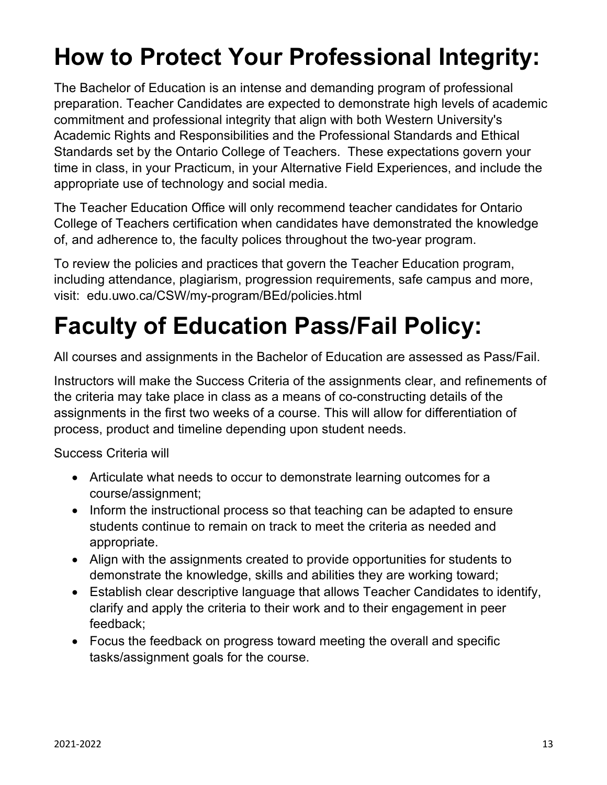# **How to Protect Your Professional Integrity:**

The Bachelor of Education is an intense and demanding program of professional preparation. Teacher Candidates are expected to demonstrate high levels of academic commitment and professional integrity that align with both Western University's Academic Rights and Responsibilities and the Professional Standards and Ethical Standards set by the Ontario College of Teachers. These expectations govern your time in class, in your Practicum, in your Alternative Field Experiences, and include the appropriate use of technology and social media.

The Teacher Education Office will only recommend teacher candidates for Ontario College of Teachers certification when candidates have demonstrated the knowledge of, and adherence to, the faculty polices throughout the two-year program.

To review the policies and practices that govern the Teacher Education program, including attendance, plagiarism, progression requirements, safe campus and more, visit: edu.uwo.ca/CSW/my-program/BEd/policies.html

# **Faculty of Education Pass/Fail Policy:**

All courses and assignments in the Bachelor of Education are assessed as Pass/Fail.

Instructors will make the Success Criteria of the assignments clear, and refinements of the criteria may take place in class as a means of co-constructing details of the assignments in the first two weeks of a course. This will allow for differentiation of process, product and timeline depending upon student needs.

Success Criteria will

- Articulate what needs to occur to demonstrate learning outcomes for a course/assignment;
- Inform the instructional process so that teaching can be adapted to ensure students continue to remain on track to meet the criteria as needed and appropriate.
- Align with the assignments created to provide opportunities for students to demonstrate the knowledge, skills and abilities they are working toward;
- Establish clear descriptive language that allows Teacher Candidates to identify, clarify and apply the criteria to their work and to their engagement in peer feedback;
- Focus the feedback on progress toward meeting the overall and specific tasks/assignment goals for the course.